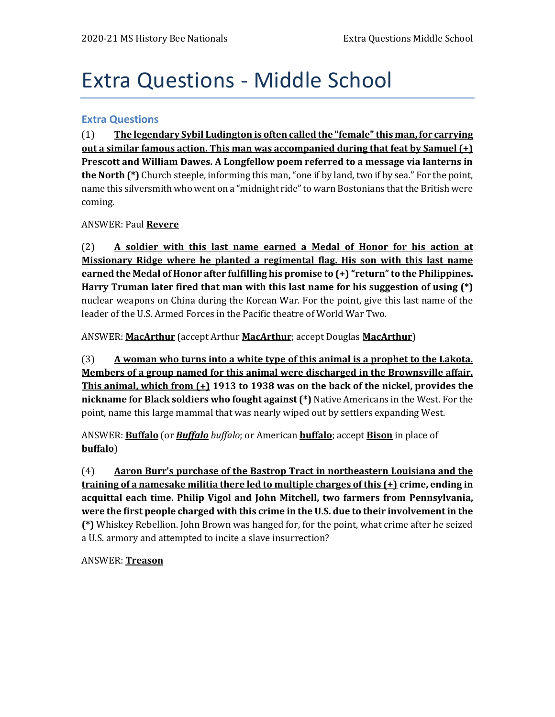# Extra Questions - Middle School

### **Extra Questions**

(1) **The legendary Sybil Ludington is often called the "female" this man, for carrying out a similar famous action. This man was accompanied during that feat by Samuel (+) Prescott and William Dawes. A Longfellow poem referred to a message via lanterns in the North (\*)** Church steeple, informing this man, "one if by land, two if by sea." For the point, name this silversmith who went on a "midnight ride" to warn Bostonians that the British were coming.

### ANSWER: Paul **Revere**

(2) **A soldier with this last name earned a Medal of Honor for his action at Missionary Ridge where he planted a regimental flag. His son with this last name earned the Medal of Honor after fulfilling his promise to (+) "return" to the Philippines. Harry Truman later fired that man with this last name for his suggestion of using (\*)** nuclear weapons on China during the Korean War. For the point, give this last name of the leader of the U.S. Armed Forces in the Pacific theatre of World War Two.

ANSWER: **MacArthur** (accept Arthur **MacArthur**; accept Douglas **MacArthur**)

(3) **A woman who turns into a white type of this animal is a prophet to the Lakota. Members of a group named for this animal were discharged in the Brownsville affair. This animal, which from (+) 1913 to 1938 was on the back of the nickel, provides the nickname for Black soldiers who fought against (\*)** Native Americans in the West. For the point, name this large mammal that was nearly wiped out by settlers expanding West.

ANSWER: **Buffalo** (or *Buffalo buffalo*; or American **buffalo**; accept **Bison** in place of **buffalo**)

(4) **Aaron Burr's purchase of the Bastrop Tract in northeastern Louisiana and the training of a namesake militia there led to multiple charges of this (+) crime, ending in acquittal each time. Philip Vigol and John Mitchell, two farmers from Pennsylvania, were the first people charged with this crime in the U.S. due to their involvement in the (\*)** Whiskey Rebellion. John Brown was hanged for, for the point, what crime after he seized a U.S. armory and attempted to incite a slave insurrection?

ANSWER: **Treason**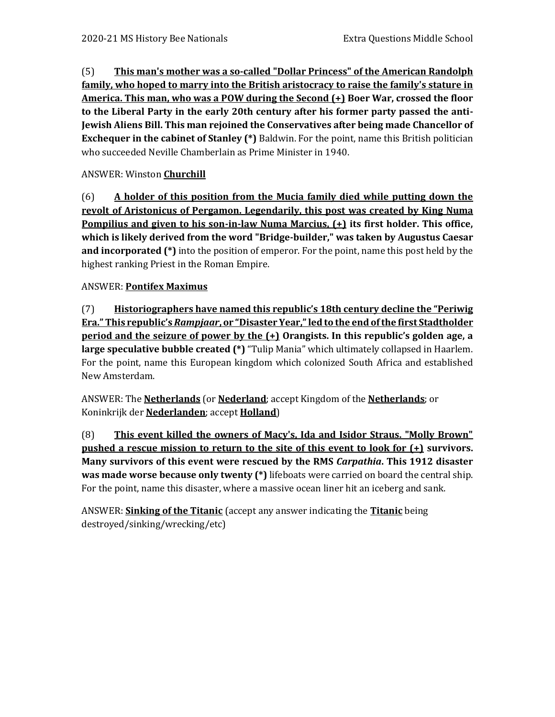(5) **This man's mother was a so-called "Dollar Princess" of the American Randolph family, who hoped to marry into the British aristocracy to raise the family's stature in America. This man, who was a POW during the Second (+) Boer War, crossed the floor to the Liberal Party in the early 20th century after his former party passed the anti-Jewish Aliens Bill. This man rejoined the Conservatives after being made Chancellor of Exchequer in the cabinet of Stanley (\*)** Baldwin. For the point, name this British politician who succeeded Neville Chamberlain as Prime Minister in 1940.

# ANSWER: Winston **Churchill**

(6) **A holder of this position from the Mucia family died while putting down the revolt of Aristonicus of Pergamon. Legendarily, this post was created by King Numa Pompilius and given to his son-in-law Numa Marcius, (+) its first holder. This office, which is likely derived from the word "Bridge-builder," was taken by Augustus Caesar and incorporated (\*)** into the position of emperor. For the point, name this post held by the highest ranking Priest in the Roman Empire.

# ANSWER: **Pontifex Maximus**

(7) **Historiographers have named this republic's 18th century decline the "Periwig Era." This republic's** *Rampjaar***, or "Disaster Year," led to the end of the first Stadtholder period and the seizure of power by the (+) Orangists. In this republic's golden age, a large speculative bubble created (\*)** "Tulip Mania" which ultimately collapsed in Haarlem. For the point, name this European kingdom which colonized South Africa and established New Amsterdam.

ANSWER: The **Netherlands** (or **Nederland**; accept Kingdom of the **Netherlands**; or Koninkrijk der **Nederlanden**; accept **Holland**)

(8) **This event killed the owners of Macy's, Ida and Isidor Straus. "Molly Brown" pushed a rescue mission to return to the site of this event to look for (+) survivors. Many survivors of this event were rescued by the RMS** *Carpathia***. This 1912 disaster was made worse because only twenty (\*)** lifeboats were carried on board the central ship. For the point, name this disaster, where a massive ocean liner hit an iceberg and sank.

ANSWER: **Sinking of the Titanic** (accept any answer indicating the **Titanic** being destroyed/sinking/wrecking/etc)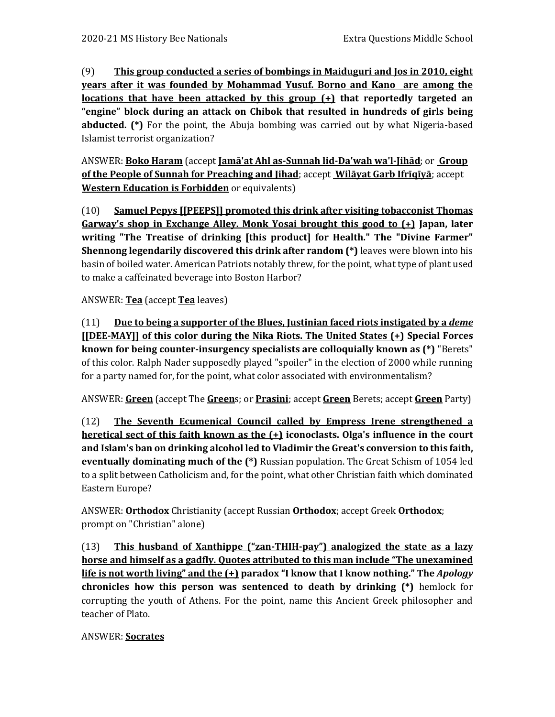(9) **This group conducted a series of bombings in Maiduguri and Jos in 2010, eight years after it was founded by Mohammad Yusuf. Borno and Kano are among the locations that have been attacked by this group (+) that reportedly targeted an "engine" block during an attack on Chibok that resulted in hundreds of girls being abducted. (\*)** For the point, the Abuja bombing was carried out by what Nigeria-based Islamist terrorist organization?

ANSWER: **Boko Haram** (accept **Jamā'at Ahl as-Sunnah lid-Da'wah wa'l-Jihād**; or **Group of the People of Sunnah for Preaching and Jihad**; accept **Wilāyat Garb Ifrīqīyā**; accept **Western Education is Forbidden** or equivalents)

(10) **Samuel Pepys [[PEEPS]] promoted this drink after visiting tobacconist Thomas Garway's shop in Exchange Alley. Monk Yosai brought this good to (+) Japan, later writing "The Treatise of drinking [this product] for Health." The "Divine Farmer" Shennong legendarily discovered this drink after random (\*)** leaves were blown into his basin of boiled water. American Patriots notably threw, for the point, what type of plant used to make a caffeinated beverage into Boston Harbor?

ANSWER: **Tea** (accept **Tea** leaves)

(11) **Due to being a supporter of the Blues, Justinian faced riots instigated by a** *deme* **[[DEE-MAY]] of this color during the Nika Riots. The United States (+) Special Forces known for being counter-insurgency specialists are colloquially known as (\*)** "Berets" of this color. Ralph Nader supposedly played "spoiler" in the election of 2000 while running for a party named for, for the point, what color associated with environmentalism?

ANSWER: **Green** (accept The **Green**s; or **Prasini**; accept **Green** Berets; accept **Green** Party)

(12) **The Seventh Ecumenical Council called by Empress Irene strengthened a heretical sect of this faith known as the (+) iconoclasts. Olga's influence in the court and Islam's ban on drinking alcohol led to Vladimir the Great's conversion to this faith, eventually dominating much of the (\*)** Russian population. The Great Schism of 1054 led to a split between Catholicism and, for the point, what other Christian faith which dominated Eastern Europe?

ANSWER: **Orthodox** Christianity (accept Russian **Orthodox**; accept Greek **Orthodox**; prompt on "Christian" alone)

(13) **This husband of Xanthippe ("zan-THIH-pay") analogized the state as a lazy horse and himself as a gadfly. Quotes attributed to this man include "The unexamined life is not worth living" and the (+) paradox "I know that I know nothing." The** *Apology* **chronicles how this person was sentenced to death by drinking (\*)** hemlock for corrupting the youth of Athens. For the point, name this Ancient Greek philosopher and teacher of Plato.

# ANSWER: **Socrates**